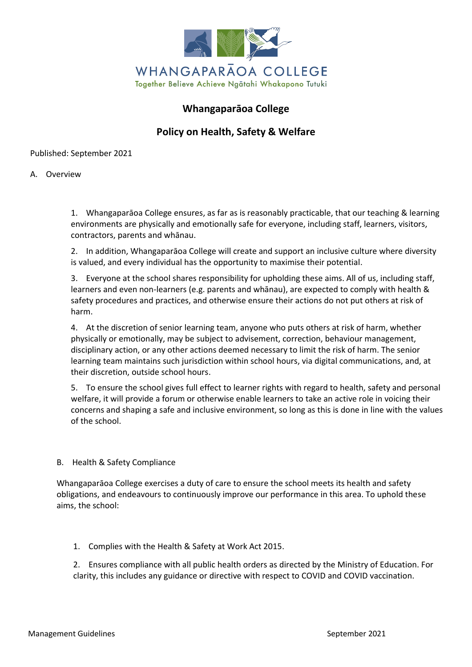

## **Whangaparāoa College**

# **Policy on Health, Safety & Welfare**

#### Published: September 2021

#### A. Overview

1. Whangaparāoa College ensures, as far as is reasonably practicable, that our teaching & learning environments are physically and emotionally safe for everyone, including staff, learners, visitors, contractors, parents and whānau.

2. In addition, Whangaparāoa College will create and support an inclusive culture where diversity is valued, and every individual has the opportunity to maximise their potential.

3. Everyone at the school shares responsibility for upholding these aims. All of us, including staff, learners and even non-learners (e.g. parents and whānau), are expected to comply with health & safety procedures and practices, and otherwise ensure their actions do not put others at risk of harm.

4. At the discretion of senior learning team, anyone who puts others at risk of harm, whether physically or emotionally, may be subject to advisement, correction, behaviour management, disciplinary action, or any other actions deemed necessary to limit the risk of harm. The senior learning team maintains such jurisdiction within school hours, via digital communications, and, at their discretion, outside school hours.

5. To ensure the school gives full effect to learner rights with regard to health, safety and personal welfare, it will provide a forum or otherwise enable learners to take an active role in voicing their concerns and shaping a safe and inclusive environment, so long as this is done in line with the values of the school.

### B. Health & Safety Compliance

Whangaparāoa College exercises a duty of care to ensure the school meets its health and safety obligations, and endeavours to continuously improve our performance in this area. To uphold these aims, the school:

1. Complies with the Health & Safety at Work Act 2015.

2. Ensures compliance with all public health orders as directed by the Ministry of Education. For clarity, this includes any guidance or directive with respect to COVID and COVID vaccination.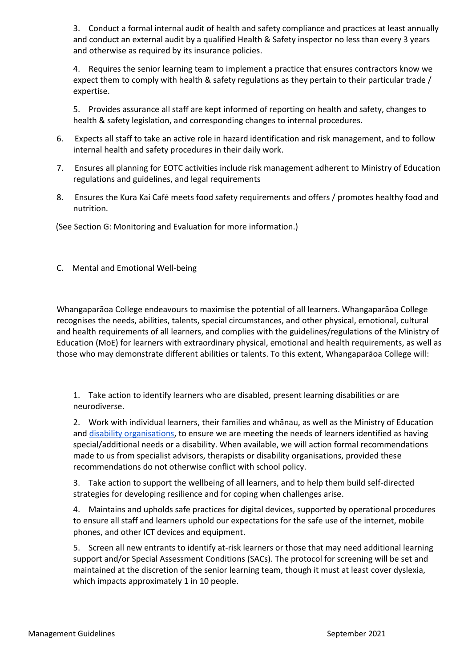3. Conduct a formal internal audit of health and safety compliance and practices at least annually and conduct an external audit by a qualified Health & Safety inspector no less than every 3 years and otherwise as required by its insurance policies.

4. Requires the senior learning team to implement a practice that ensures contractors know we expect them to comply with health & safety regulations as they pertain to their particular trade / expertise.

5. Provides assurance all staff are kept informed of reporting on health and safety, changes to health & safety legislation, and corresponding changes to internal procedures.

- 6. Expects all staff to take an active role in hazard identification and risk management, and to follow internal health and safety procedures in their daily work.
- 7. Ensures all planning for EOTC activities include risk management adherent to Ministry of Education regulations and guidelines, and legal requirements
- 8. Ensures the Kura Kai Café meets food safety requirements and offers / promotes healthy food and nutrition.

(See Section G: Monitoring and Evaluation for more information.)

C. Mental and Emotional Well-being

Whangaparāoa College endeavours to maximise the potential of all learners. Whangaparāoa College recognises the needs, abilities, talents, special circumstances, and other physical, emotional, cultural and health requirements of all learners, and complies with the guidelines/regulations of the Ministry of Education (MoE) for learners with extraordinary physical, emotional and health requirements, as well as those who may demonstrate different abilities or talents. To this extent, Whangaparāoa College will:

1. Take action to identify learners who are disabled, present learning disabilities or are neurodiverse.

2. Work with individual learners, their families and whānau, as well as the Ministry of Education and [disability organisations,](https://www.health.govt.nz/your-health/services-and-support/disability-services/more-information-disability-support/disability-organisations-and-websites) to ensure we are meeting the needs of learners identified as having special/additional needs or a disability. When available, we will action formal recommendations made to us from specialist advisors, therapists or disability organisations, provided these recommendations do not otherwise conflict with school policy.

3. Take action to support the wellbeing of all learners, and to help them build self-directed strategies for developing resilience and for coping when challenges arise.

4. Maintains and upholds safe practices for digital devices, supported by operational procedures to ensure all staff and learners uphold our expectations for the safe use of the internet, mobile phones, and other ICT devices and equipment.

5. Screen all new entrants to identify at-risk learners or those that may need additional learning support and/or Special Assessment Conditions (SACs). The protocol for screening will be set and maintained at the discretion of the senior learning team, though it must at least cover dyslexia, which impacts approximately 1 in 10 people.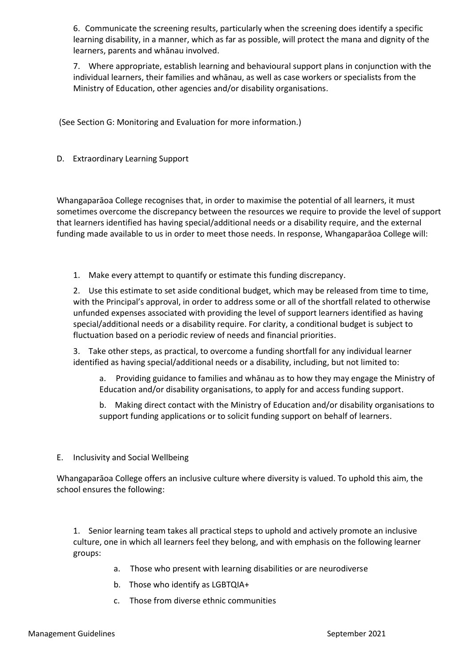6. Communicate the screening results, particularly when the screening does identify a specific learning disability, in a manner, which as far as possible, will protect the mana and dignity of the learners, parents and whānau involved.

7. Where appropriate, establish learning and behavioural support plans in conjunction with the individual learners, their families and whānau, as well as case workers or specialists from the Ministry of Education, other agencies and/or disability organisations.

(See Section G: Monitoring and Evaluation for more information.)

## D. Extraordinary Learning Support

Whangaparāoa College recognises that, in order to maximise the potential of all learners, it must sometimes overcome the discrepancy between the resources we require to provide the level of support that learners identified has having special/additional needs or a disability require, and the external funding made available to us in order to meet those needs. In response, Whangaparāoa College will:

1. Make every attempt to quantify or estimate this funding discrepancy.

2. Use this estimate to set aside conditional budget, which may be released from time to time, with the Principal's approval, in order to address some or all of the shortfall related to otherwise unfunded expenses associated with providing the level of support learners identified as having special/additional needs or a disability require. For clarity, a conditional budget is subject to fluctuation based on a periodic review of needs and financial priorities.

3. Take other steps, as practical, to overcome a funding shortfall for any individual learner identified as having special/additional needs or a disability, including, but not limited to:

a. Providing guidance to families and whānau as to how they may engage the Ministry of Education and/or disability organisations, to apply for and access funding support.

b. Making direct contact with the Ministry of Education and/or disability organisations to support funding applications or to solicit funding support on behalf of learners.

### E. Inclusivity and Social Wellbeing

Whangaparāoa College offers an inclusive culture where diversity is valued. To uphold this aim, the school ensures the following:

1. Senior learning team takes all practical steps to uphold and actively promote an inclusive culture, one in which all learners feel they belong, and with emphasis on the following learner groups:

- a. Those who present with learning disabilities or are neurodiverse
- b. Those who identify as LGBTQIA+
- c. Those from diverse ethnic communities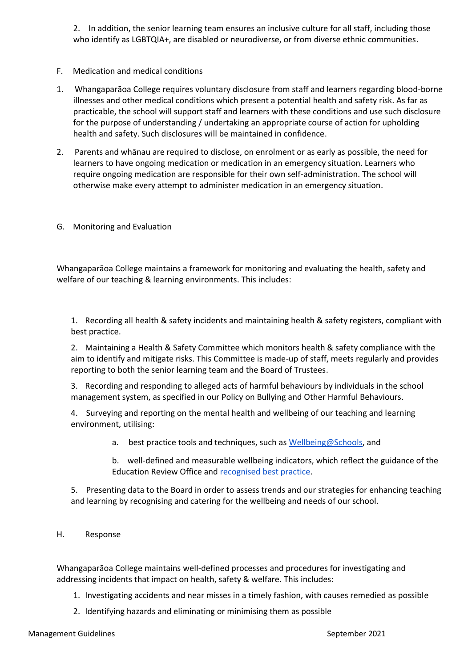2. In addition, the senior learning team ensures an inclusive culture for all staff, including those who identify as LGBTQIA+, are disabled or neurodiverse, or from diverse ethnic communities.

- F. Medication and medical conditions
- 1. Whangaparāoa College requires voluntary disclosure from staff and learners regarding blood-borne illnesses and other medical conditions which present a potential health and safety risk. As far as practicable, the school will support staff and learners with these conditions and use such disclosure for the purpose of understanding / undertaking an appropriate course of action for upholding health and safety. Such disclosures will be maintained in confidence.
- 2. Parents and whānau are required to disclose, on enrolment or as early as possible, the need for learners to have ongoing medication or medication in an emergency situation. Learners who require ongoing medication are responsible for their own self-administration. The school will otherwise make every attempt to administer medication in an emergency situation.
- G. Monitoring and Evaluation

Whangaparāoa College maintains a framework for monitoring and evaluating the health, safety and welfare of our teaching & learning environments. This includes:

1. Recording all health & safety incidents and maintaining health & safety registers, compliant with best practice.

2. Maintaining a Health & Safety Committee which monitors health & safety compliance with the aim to identify and mitigate risks. This Committee is made-up of staff, meets regularly and provides reporting to both the senior learning team and the Board of Trustees.

3. Recording and responding to alleged acts of harmful behaviours by individuals in the school management system, as specified in our Policy on Bullying and Other Harmful Behaviours.

4. Surveying and reporting on the mental health and wellbeing of our teaching and learning environment, utilising:

a. best practice tools and techniques, such as [Wellbeing@Schools,](https://www.wellbeingatschool.org.nz/about-ws-tools) and

b. well-defined and measurable wellbeing indicators, which reflect the guidance of the Education Review Office and [recognised best practice.](https://www.growwaitaha.co.nz/find-resources/monitoring-impact-on-well-being-and-learning/)

5. Presenting data to the Board in order to assess trends and our strategies for enhancing teaching and learning by recognising and catering for the wellbeing and needs of our school.

#### H. Response

Whangaparāoa College maintains well-defined processes and procedures for investigating and addressing incidents that impact on health, safety & welfare. This includes:

- 1. Investigating accidents and near misses in a timely fashion, with causes remedied as possible
- 2. Identifying hazards and eliminating or minimising them as possible